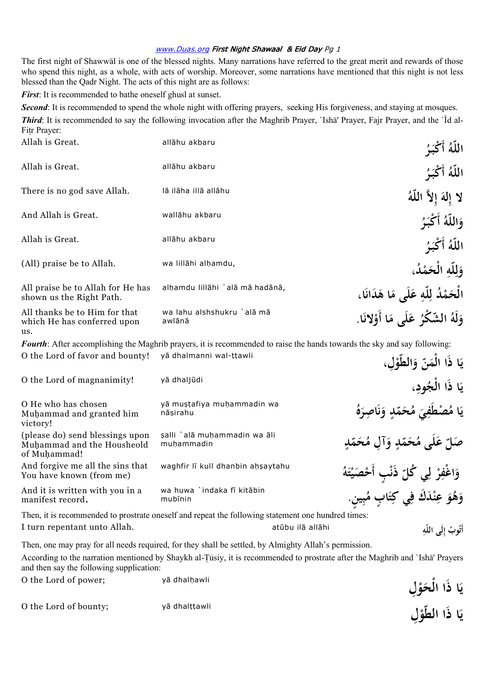The first night of Shawwal is one of the blessed nights. Many narrations have referred to the great merit and rewards of those who spend this night, as a whole, with acts of worship. Moreover, some narrations have mentioned that this night is not less blessed than the Qadr Night. The acts of this night are as follows:

*First*: It is recommended to bathe oneself ghusl at sunset.

**Second:** It is recommended to spend the whole night with offering prayers, seeking His forgiveness, and staying at mosques.

*Third*: It is recommended to say the following invocation after the Maghrib Prayer, `Isha Prayer, Fajr Prayer, and the `Id al-Fitr Prayer:

| Allah is Great.                                                     | allāhu akbaru                        | اللَّهُ أَكْبَرُ                      |  |
|---------------------------------------------------------------------|--------------------------------------|---------------------------------------|--|
| Allah is Great.                                                     | allāhu akbaru                        | اللَّهُ أَكْبَرُ                      |  |
| There is no god save Allah.                                         | lā ilāha illā allāhu                 | لا إِلهَ إِلاَّ اللَّهُ               |  |
| And Allah is Great.                                                 | wallāhu akbaru                       | وَاللَّهُ أَكْبَرُ                    |  |
| Allah is Great.                                                     | allāhu akbaru                        | اللَّهُ أَكْبَرُ                      |  |
| (All) praise be to Allah.                                           | wa lillāhi alhamdu,                  | وَلِلّهِ الْحَمْدُ،                   |  |
| All praise be to Allah for He has<br>shown us the Right Path.       | alhamdu lillāhi `alā mā hadānā,      | الْحَمْدُ لِلَّهِ عَلَى مَا هَدَانَا، |  |
| All thanks be to Him for that<br>which He has conferred upon<br>us. | wa lahu alshshukru `alā mā<br>awlānā | وَلَهُ الشَّكْرُ عَلَى مَا أَوْلانَا. |  |
|                                                                     |                                      |                                       |  |

*Fourth*: After accomplishing the Maghrib prayers, it is recommended to raise the hands towards the sky and say following: **ا ي ذَا ّ َن ِل الْم ، الطّو و** O the Lord of favor and bounty! yā dhalmanni wal-ttawli

**جْال** O the Lord of magnanimity! y¡ dhalj£di

yā muştafiya muhammadin wa nāsirahu O He who has chosen Mu¦ammad and granted him victory! salli `alā muhammadin wa āli (please do) send blessings upon

mu¦ammadin Muhammad and the Housheold

And forgive me all the sins that waghfir lī kull dhanbin ahsaytahu

wa huwa `indaka fī kitābin mubīnin

**ا ي ذَا ، ُودِ ب ا ي ُ ْصطَف م ّدٍ َم ُح ُ م ه ِ اصر و ب ي َ ِ َ** .<br>.<br>. **ن َ** صَلِّ عَلَى مُحَمَّدٍ وَآلِ مُحَمَّدٍ **َ َ ْ ر ْ اغف و ي ّ ٍب ُكل ُ ذَن ه ت ْ َصي أَح ِ َ ِ ل** .<br>أ **َ ْ َ** وَهُوَ عِنْدَكَ فِي كِتَابٍ مُبِينٍ. **َ ِ َ ِ**

**ْ**

**َ**

**ب** 

Then, it is recommended to prostrate oneself and repeat the following statement one hundred times: I turn repentant unto Allah. **Allahi ili allahi karatana di kacamatan** atūbu ilā allāhi

Then, one may pray for all needs required, for they shall be settled, by Almighty Allah's permission.

According to the narration mentioned by Shaykh al-Tūsiy, it is recommended to prostrate after the Maghrib and `Ishā' Prayers and then say the following supplication:

O the Lord of power: yā dhalhawli

O the Lord of bounty; yā dhalțțawli

You have known (from me)

And it is written with you in a

of Muhammad!

manifest record.

**ِل َو ا ذَا الْح ي ْ ب**<br>: **ِل ا ذَا الطّو ي ْ ب**<br>.

أَتُوبُ إِلَى اللّهِ **ِ**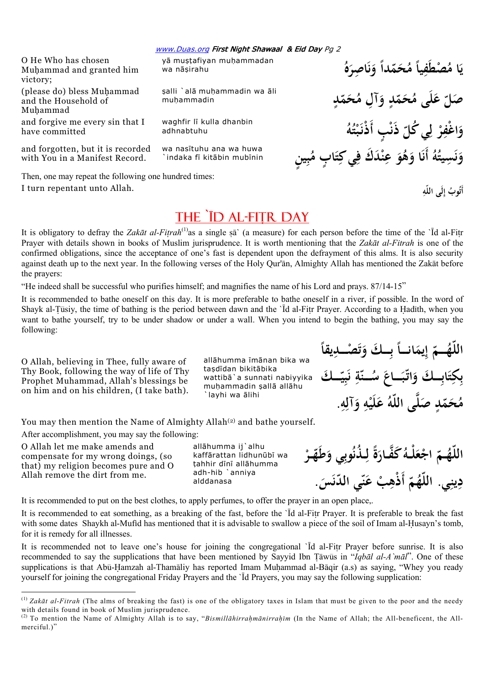O He Who has chosen Muhammad and granted him victory;

(please do) bless Muhammad and the Household of Mu¦ammad and forgive me every sin that I

have committed

and forgotten, but it is recorded with You in a Manifest Record.

Then, one may repeat the following one hundred times: I turn repentant unto Allah. **وبُ**

wa nas¢tuhu ana wa huwa

`indaka fī kitābin mubīnin

waghfir lī kulla dhanbin

yā muştafiyan muhammadan

şalli `alā muhammadin wa āli

wa nāsirahu

mu¦ammadin

adhnabtuhu

THE `ID AL-FITR DAY

It is obligatory to defray the *Zakāt al-Fitrah*<sup>(1)</sup>as a single sā` (a measure) for each person before the time of the `ld al-Fitr Prayer with details shown in books of Muslim jurisprudence. It is worth mentioning that the *Zakāt al-Fitrah* is one of the confirmed obligations, since the acceptance of one's fast is dependent upon the defrayment of this alms. It is also security against death up to the next year. In the following verses of the Holy Qur'ān, Almighty Allah has mentioned the Zakāt before the prayers:

"He indeed shall be successful who purifies himself; and magnifies the name of his Lord and prays. 87/14-15"

It is recommended to bathe oneself on this day. It is more preferable to bathe oneself in a river, if possible. In the word of Shayk al-Tūsiy, the time of bathing is the period between dawn and the  $\overline{d}$  al-Fitr Prayer. According to a Hadīth, when you want to bathe yourself, try to be under shadow or under a wall. When you intend to begin the bathing, you may say the following:

O Allah, believing in Thee, fully aware of Thy Book, following the way of life of Thy Prophet Muhammad, Allah's blessings be on him and on his children, (I take bath).

allāhumma īmānan bika wa tasdīdan bikitābika wattibā`a sunnati nabiyyika muhammadin sallā allāhu `layhi wa ālihi

**ً** اللّهُـــمّ إِيمَانـــاً بِــكَ وَتَصْـــلاِيقاً **ت َ َ ب َ ــــك َ ّ ــكَ وَاتّبَـــاعَ سُـــتّةِ نَبِيّ ِ** ن<br>. **َ َ ب اب َ ت ِكِ ب**<br>۶ هُحَمّدٍ صَلَّى اللَّهُ عَلَيْهِ وَآلِهِ. **ِ ِ َ ْ َ**

You may then mention the Name of Almighty Allah<sup>(2)</sup> and bathe yourself.

After accomplishment, you may say the following:

O Allah let me make amends and compensate for my wrong doings, (so that) my religion becomes pure and O Allah remove the dirt from me.

 $\overline{a}$ 

allāhumma ij`alhu kaffārattan lidhunūbī wa tahhir dini allāhumma adh-hib `anniya alddanasa

اللّهُــمّ اجْعَلْـهُ كَفَّـارَةً لِـذُنُوبِي وَطَهّـرْ **ْ َ ِ َ َ ْ** دِينِي. اللّهُمّ أَذْهِبْ عَنّي الدّنَسَ.<br>. **ِ َ َ ِ**

It is recommended to put on the best clothes, to apply perfumes, to offer the prayer in an open place,.

It is recommended to eat something, as a breaking of the fast, before the 'Id al-Fitr Prayer. It is preferable to break the fast with some dates Shaykh al-Mufid has mentioned that it is advisable to swallow a piece of the soil of Imam al-Husayn's tomb, for it is remedy for all illnesses.

It is recommended not to leave one's house for joining the congregational `Id al-Fitr Prayer before sunrise. It is also recommended to say the supplications that have been mentioned by Sayyid Ibn Tāwūs in "*Iqbāl al-A`māl*". One of these supplications is that Abū-Hamzah al-Thamāliy has reported Imam Muhammad al-Bāqir (a.s) as saying, "Whey you ready yourself for joining the congregational Friday Prayers and the `Id Prayers, you may say the following supplication:

**ُ ه ِ اصر ً و ّدا َم ُح ً م ِيا ُ ْصطَف ا م ي َ** .<br>.<br>. **ن َ ب**<br>. **لَى ع ّ َصل ّدٍ َم ُح ِآل م ّدٍ و َم ُح م َ َ ُ ه ُ ت ب ٍب أَ ْذنـ ذَن ّ ُي كل ل ر ْ اغف و ْ** .<br>. .<br>أ **ِ ْ ِ َ** وَنَسِيتُهُ أَنَا وَهُوَ عِنْدَكَ فِي كِتَابٍ مُبِينٍ .<br>.<br>. **ن َ ِ َ ِ َ َ ِ ِ**

أَتُوبُ إِل<sub>َى</sub> اللّهِ

 $^{(1)}$  *Zakāt al-Fitrah* (The alms of breaking the fast) is one of the obligatory taxes in Islam that must be given to the poor and the needy with details found in book of Muslim jurisprudence.

<sup>(2)</sup> To mention the Name of Almighty Allah is to say, "Bismillahirrahmanirrahim (In the Name of Allah; the All-beneficent, the Allmerciful.)"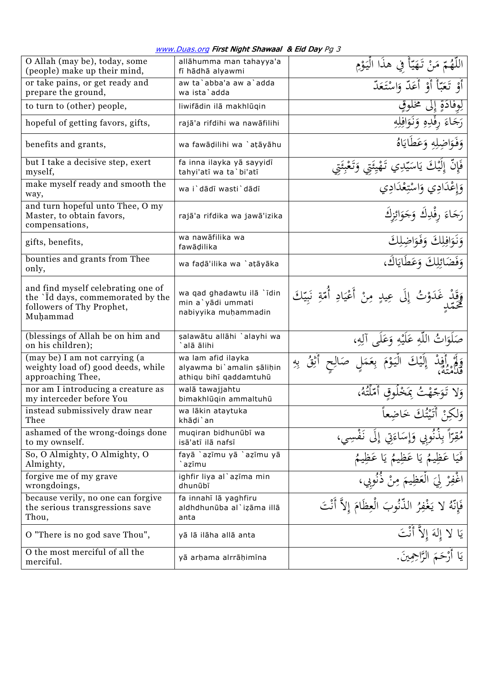| O Allah (may be), today, some<br>(people) make up their mind,                                                    | allāhumma man tahayya'a<br>fī hādhā alyawmi                               | اللَّهُمّ مَنْ تَهَيّأً فِي هذَا الْيَوْمِ                            |
|------------------------------------------------------------------------------------------------------------------|---------------------------------------------------------------------------|-----------------------------------------------------------------------|
| or take pains, or get ready and<br>prepare the ground,                                                           | aw ta'abba'a aw a'adda<br>wa ista`adda                                    | أَوْ تَعَبَّأَ أَوْ أَعَدّ وَاسْتَعَدّ                                |
| to turn to (other) people,                                                                                       | liwifādin ilā makhlūqin                                                   | إلى مُخْلُوق                                                          |
| hopeful of getting favors, gifts,                                                                                | rajā'a rifdihi wa nawāfilihi                                              | رَجَاءَ رِفْدِهِ وَنَوَافِلِهِ                                        |
| benefits and grants,                                                                                             | wa fawāḍilihi wa `aṭāyāhu                                                 | وَفَوَاضِلِهِ وَعَطَايَاهُ                                            |
| but I take a decisive step, exert<br>myself,                                                                     | fa inna ilayka yā sayyidī<br>tahyi'atī wa ta`bi'atī                       | فَإِنَّ إِلَيْكَ يَاسَيِّدِي تَهْيِئَتِي وَتَعْ                       |
| make myself ready and smooth the<br>way,                                                                         | wa i'dādī wasti'dādī                                                      | وَإِعْدَادِي وَاسْتِعْدَادِي                                          |
| and turn hopeful unto Thee, O my<br>Master, to obtain favors,<br>compensations,                                  | rajā'a rifdika wa jawā'izika                                              | رَجَاءَ رِفْدِكَ وَجَوَائِزِكَ                                        |
| gifts, benefits,                                                                                                 | wa nawāfilika wa<br>fawādilika                                            | وَنَوَافِلِكَ وَفَوَاضِلِكَ                                           |
| bounties and grants from Thee<br>only,                                                                           | wa fadā'ilika wa `atāyāka                                                 | وَفَضَائِلِكَ وَعَطَايَاكَ،                                           |
| and find myself celebrating one of<br>the `Id days, commemorated by the<br>followers of Thy Prophet,<br>Muhammad | wa qad ghadawtu ilā `īdin<br>min a`yādi ummati<br>nabiyyika muhammadin    | وَقَدْ غَدَوْتُ إِلَى عِيدٍ مِنْ أَعْيَادِ أُمّةِ نَبِيّكَ<br>مُحَمّد |
| (blessings of Allah be on him and<br>on his children);                                                           | şalawātu allāhi `alayhi wa<br>alā ālihi                                   | صَلَوَاتٌ اللَّهِ عَلَيْهِ وَعَلَى آلِهِ،                             |
| (may be) I am not carrying (a<br>weighty load of) good deeds, while<br>approaching Thee,                         | wa lam afid ilayka<br>alyawma bi`amalin şālihin<br>athiqu bihī qaddamtuhū | به<br>زر                                                              |
| nor am I introducing a creature as<br>my interceder before You                                                   | walā tawajjahtu<br>bimakhlūqin ammaltuhū                                  | ئٌ بِمَخْلُوقِ أَمَّلَتُهُ،                                           |
| instead submissively draw near<br>Thee                                                                           | wa lākin ataytuka<br>khāḍi`an                                             | وَلَكِنْ أَتَتْتُكَ خَاضِعاً                                          |
| ashamed of the wrong-doings done<br>to my ownself.                                                               | muqiran bidhunūbī wa<br>isā'atī ilā nafsī                                 | نُوبي وَإِسَاءَتِي إِلَى نَفْسِي،                                     |
| So, O Almighty, O Almighty, O<br>Almighty,                                                                       | fayā `azīmu yā `azīmu yā<br>azīmu                                         | عَظِيمُ يَا عَظِيمُ يَا عَظِيمُ                                       |
| forgive me of my grave<br>wrongdoings,                                                                           | ighfir liya al`azīma min<br>dhunūbī                                       |                                                                       |
| because verily, no one can forgive<br>the serious transgressions save<br>Thou,                                   | fa innahī lā yaghfiru<br>aldhdhunūba al`izāma illā<br>anta                | يَغْفِرُ الذُّنُوبَ الْعِظَامَ إلاَّ أَنْتَ                           |
| O "There is no god save Thou",                                                                                   | yā lā ilāha allā anta                                                     | يَا لا إِلهَ إِلاَّ أَنْتَ                                            |
| O the most merciful of all the<br>merciful.                                                                      | yā arhama alrrāhimīna                                                     | يَا أَرْحَمَ الرَّاحِمِينَ.                                           |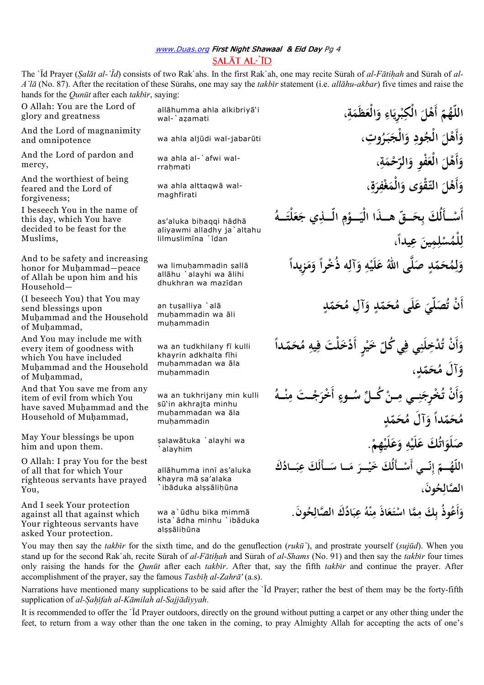## www.Duas.org First Night Shawaal & Eid Day Pg 4  $SAI\bar{A}TAI\bar{I}D$

The `<sup>T</sup>d Prayer (*Salāt al-`Īd*) consists of two Rak`ahs. In the first Rak`ah, one may recite Sūrah of *al-Fātihah* and Sūrah of *al-A* '*lā* (No. 87). After the recitation of these Sūrahs, one may say the *takbūr* statement (i.e. *allāhu-akbar*) five times and raise the hands for the *Qunūt* after each *takbīr*, saying:

O Allah: You are the Lord of glory and greatness

And the Lord of magnanimity and omnipotence

And the Lord of pardon and mercy,

And the worthiest of being feared and the Lord of forgiveness;

I beseech You in the name of this day, which You have decided to be feast for the Muslims,

And to be safety and increasing honor for Muhammad-peace of Allah be upon him and his Household—

(I beseech You) that You may send blessings upon Muhammad and the Household of Muhammad,

And You may include me with every item of goodness with which You have included Muhammad and the Household of Muhammad.

And that You save me from any item of evil from which You have saved Muhammad and the Household of Muhammad,

May Your blessings be upon him and upon them.

O Allah: I pray You for the best of all that for which Your righteous servants have prayed Y<sub>ou</sub>

And I seek Your protection against all that against which Your righteous servants have asked Your protection.

**، ة َظَم الْع ِ و اء ِري ب الْكِ ْل أَه ّ ُم هّالل** all¡humma ahla alkibriy¡'i wal-`azamati

**ِوت، ُ ر بـ الْج ِ و ُود الْج ْل أَه** wa ahla alj£di wal-jabar£ti **و**

wa ahla al-`afwi walrrahmati

maghfirati

as'aluka bihaqqi hādhā aliyawmi alladhy ja`altahu  $limuslimina$   $idan$ 

allāhu `alayhi wa ālihi dhukhran wa mazidan

muhammadin wa āli mu¦ammadin

wa an tudkhilany fī kulli khayrin adkhalta fīhi muhammadan wa āla mu¦ammadin

wa an tukhrijany min kulli s£'in akhrajta minhu muhammadan wa āla mu¦ammadin

¥alaw¡tuka `alayhi wa `alayhim

allāhumma innī as'aluka khayra mā sa'alaka  $\cdot$ ib $\tilde{\rm a}$ duka alssālihūna

ista`ādha minhu `ibāduka alssālihūna

وَأَهْلَ الْعَفْوِ وَالرَّحْمَةِ،<br>. **ِ َ َ َ َ َ** wa ahla alttaqwā wal-<br>maghfirati **ِ َ ِ َ َ َ َ ـــأَلُكَ بِحَـــقِّ هـــذَا الْيَــــؤمِ الَّـــٰذِي جَعَلْتَـــهُ َ َ َ ْ َ ْ أَس ،ً عِيدا مِين ل ُس ْلم ل**  .<br>ـ **ِ ْ ِ ً ِزيدا م ً و ِه ذُ ْخرا آل ِ و ه لَي ع ى االلهُ صل دٍ ّ َم ُح م** wa limu¦ammadin ¥all¡ **و َ َ َ ْ َ َ ِ ل َ أَ ْن دٍ ّ َم ُح ِآل م دٍ و ّ َم ُح لَى م ع َصلّي ُ** an tu¥alliya `al¡ **ت َ َ َ ً** وَأَنْ تُدْخِلَنِي فِي كُلّ خَيْرٍ أَدْخَلْتَ فِيهِ مُحَمّداً **ْ َ ِ َ ، دٍ ّ َم ُح َآل م و َ** وَأَنْ تُخْرِجَنِــي مِــنْ كُــلِّ سُــوءٍ أَخْرَجْــتَ مِنْــهُ **ْ َ َ ـــه ْ ن ِ ـــت م َ ْ** رَجُ<br>ر خرَ-<br>\* **دٍ ّ َم ُح َآل م ً و دا ّ َم ُح م َ ِ ه لَي ُ َك ع ات لَو َص ِهم لَي ع و . ْ َ َ ْ ْ َ َ** اللّهُـــمّ إِنّـــي أَسْــأَلُكَ خَيْــرَ مَــا سَــأَلَكَ عِبَــادُكَ **َ َ َ َ ْ ْ ن ِ** الصَّالِحُونَ، **ِ َون ُ ح َك الصال ُ اد ب عِ ُ ْه ن اذَ م ع تـ ما اس َك م ُوذُ ب أَع** wa a`£dhu bika mimm¡ **. و ِ َ ِ َ َ ْ ِ ِ َ**

**ِ َ**

**َ ب ْ**

> **َ َ َ**

**َ**

**َ**

**َ**

You may then say the *takbir* for the sixth time, and do the genuflection (*rukū*), and prostrate yourself (*sujūd*). When you stand up for the second Rak`ah, recite Sūrah of *al-Fātihah* and Sūrah of *al-Shams* (No. 91) and then say the *takbīr* four times only raising the hands for the *Qun£t* after each *takb¢r*. After that, say the fifth *takb¢r* and continue the prayer. After accomplishment of the prayer, say the famous *Tasbih al-Zahrā'* (a.s).

Narrations have mentioned many supplications to be said after the 'Id Prayer; rather the best of them may be the forty-fifth supplication of *al-Sahīfah al-Kāmilah al-Sajjādiyyah*.

It is recommended to offer the `Id Prayer outdoors, directly on the ground without putting a carpet or any other thing under the feet, to return from a way other than the one taken in the coming, to pray Almighty Allah for accepting the acts of one's